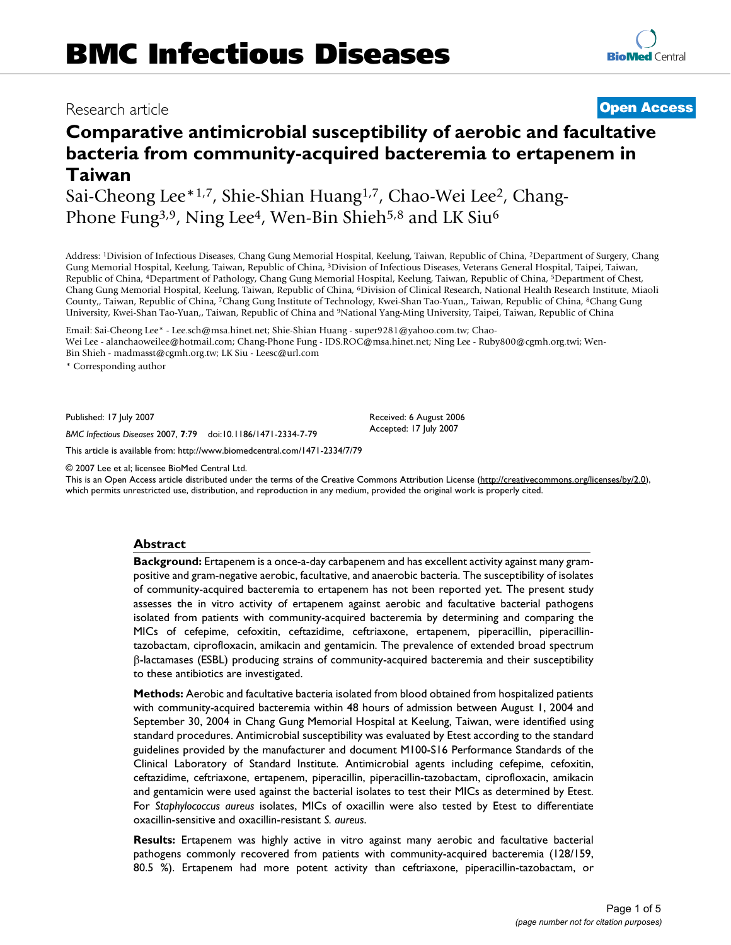## Research article **[Open Access](http://www.biomedcentral.com/info/about/charter/)**

# **Comparative antimicrobial susceptibility of aerobic and facultative bacteria from community-acquired bacteremia to ertapenem in Taiwan**

Sai-Cheong Lee\*<sup>1,7</sup>, Shie-Shian Huang<sup>1,7</sup>, Chao-Wei Lee<sup>2</sup>, Chang-Phone Fung<sup>3,9</sup>, Ning Lee<sup>4</sup>, Wen-Bin Shieh<sup>5,8</sup> and LK Siu<sup>6</sup>

Address: 1Division of Infectious Diseases, Chang Gung Memorial Hospital, Keelung, Taiwan, Republic of China, 2Department of Surgery, Chang Gung Memorial Hospital, Keelung, Taiwan, Republic of China, 3Division of Infectious Diseases, Veterans General Hospital, Taipei, Taiwan, Republic of China, 4Department of Pathology, Chang Gung Memorial Hospital, Keelung, Taiwan, Republic of China, 5Department of Chest, Chang Gung Memorial Hospital, Keelung, Taiwan, Republic of China, 6Division of Clinical Research, National Health Research Institute, Miaoli County,, Taiwan, Republic of China, 7Chang Gung Institute of Technology, Kwei-Shan Tao-Yuan,, Taiwan, Republic of China, 8Chang Gung University, Kwei-Shan Tao-Yuan,, Taiwan, Republic of China and 9National Yang-Ming University, Taipei, Taiwan, Republic of China

Email: Sai-Cheong Lee\* - Lee.sch@msa.hinet.net; Shie-Shian Huang - super9281@yahoo.com.tw; Chao-Wei Lee - alanchaoweilee@hotmail.com; Chang-Phone Fung - IDS.ROC@msa.hinet.net; Ning Lee - Ruby800@cgmh.org.twi; Wen-Bin Shieh - madmasst@cgmh.org.tw; LK Siu - Leesc@url.com

\* Corresponding author

Published: 17 July 2007

*BMC Infectious Diseases* 2007, **7**:79 doi:10.1186/1471-2334-7-79

[This article is available from: http://www.biomedcentral.com/1471-2334/7/79](http://www.biomedcentral.com/1471-2334/7/79)

© 2007 Lee et al; licensee BioMed Central Ltd.

This is an Open Access article distributed under the terms of the Creative Commons Attribution License [\(http://creativecommons.org/licenses/by/2.0\)](http://creativecommons.org/licenses/by/2.0), which permits unrestricted use, distribution, and reproduction in any medium, provided the original work is properly cited.

Received: 6 August 2006 Accepted: 17 July 2007

#### **Abstract**

**Background:** Ertapenem is a once-a-day carbapenem and has excellent activity against many grampositive and gram-negative aerobic, facultative, and anaerobic bacteria. The susceptibility of isolates of community-acquired bacteremia to ertapenem has not been reported yet. The present study assesses the in vitro activity of ertapenem against aerobic and facultative bacterial pathogens isolated from patients with community-acquired bacteremia by determining and comparing the MICs of cefepime, cefoxitin, ceftazidime, ceftriaxone, ertapenem, piperacillin, piperacillintazobactam, ciprofloxacin, amikacin and gentamicin. The prevalence of extended broad spectrum β-lactamases (ESBL) producing strains of community-acquired bacteremia and their susceptibility to these antibiotics are investigated.

**Methods:** Aerobic and facultative bacteria isolated from blood obtained from hospitalized patients with community-acquired bacteremia within 48 hours of admission between August 1, 2004 and September 30, 2004 in Chang Gung Memorial Hospital at Keelung, Taiwan, were identified using standard procedures. Antimicrobial susceptibility was evaluated by Etest according to the standard guidelines provided by the manufacturer and document M100-S16 Performance Standards of the Clinical Laboratory of Standard Institute. Antimicrobial agents including cefepime, cefoxitin, ceftazidime, ceftriaxone, ertapenem, piperacillin, piperacillin-tazobactam, ciprofloxacin, amikacin and gentamicin were used against the bacterial isolates to test their MICs as determined by Etest. For *Staphylococcus aureus* isolates, MICs of oxacillin were also tested by Etest to differentiate oxacillin-sensitive and oxacillin-resistant *S. aureus*.

**Results:** Ertapenem was highly active in vitro against many aerobic and facultative bacterial pathogens commonly recovered from patients with community-acquired bacteremia (128/159, 80.5 %). Ertapenem had more potent activity than ceftriaxone, piperacillin-tazobactam, or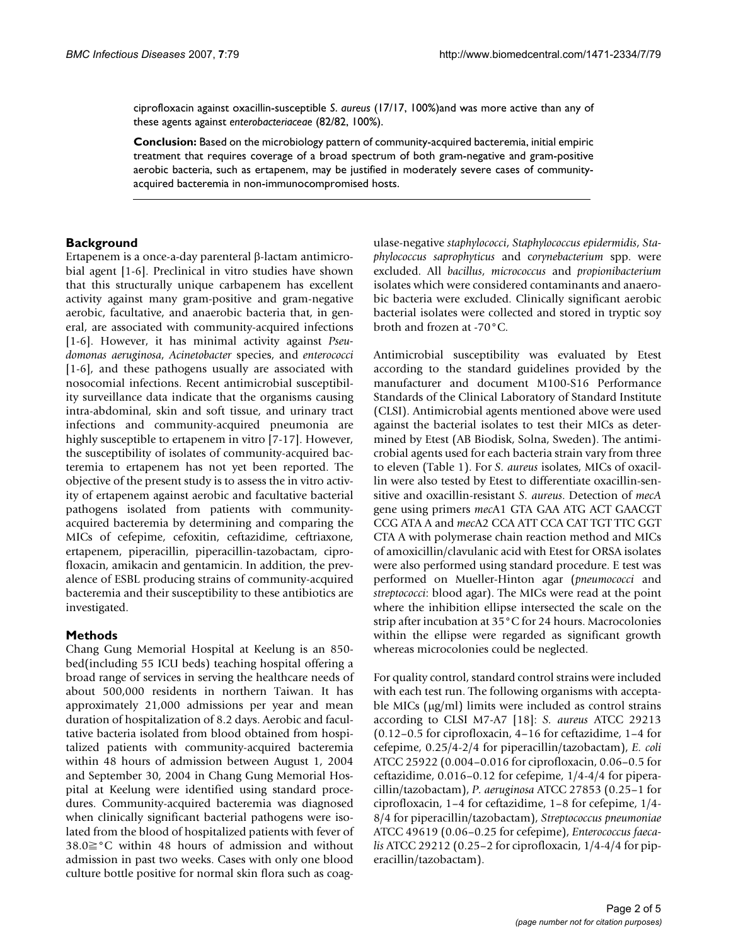ciprofloxacin against oxacillin-susceptible *S*. *aureus* (17/17, 100%)and was more active than any of these agents against *enterobacteriaceae* (82/82, 100%).

**Conclusion:** Based on the microbiology pattern of community-acquired bacteremia, initial empiric treatment that requires coverage of a broad spectrum of both gram-negative and gram-positive aerobic bacteria, such as ertapenem, may be justified in moderately severe cases of communityacquired bacteremia in non-immunocompromised hosts.

### **Background**

Ertapenem is a once-a-day parenteral β-lactam antimicrobial agent [1-6]. Preclinical in vitro studies have shown that this structurally unique carbapenem has excellent activity against many gram-positive and gram-negative aerobic, facultative, and anaerobic bacteria that, in general, are associated with community-acquired infections [1-6]. However, it has minimal activity against *Pseudomonas aeruginosa*, *Acinetobacter* species, and *enterococci* [1-6], and these pathogens usually are associated with nosocomial infections. Recent antimicrobial susceptibility surveillance data indicate that the organisms causing intra-abdominal, skin and soft tissue, and urinary tract infections and community-acquired pneumonia are highly susceptible to ertapenem in vitro [7-17]. However, the susceptibility of isolates of community-acquired bacteremia to ertapenem has not yet been reported. The objective of the present study is to assess the in vitro activity of ertapenem against aerobic and facultative bacterial pathogens isolated from patients with communityacquired bacteremia by determining and comparing the MICs of cefepime, cefoxitin, ceftazidime, ceftriaxone, ertapenem, piperacillin, piperacillin-tazobactam, ciprofloxacin, amikacin and gentamicin. In addition, the prevalence of ESBL producing strains of community-acquired bacteremia and their susceptibility to these antibiotics are investigated.

### **Methods**

Chang Gung Memorial Hospital at Keelung is an 850 bed(including 55 ICU beds) teaching hospital offering a broad range of services in serving the healthcare needs of about 500,000 residents in northern Taiwan. It has approximately 21,000 admissions per year and mean duration of hospitalization of 8.2 days. Aerobic and facultative bacteria isolated from blood obtained from hospitalized patients with community-acquired bacteremia within 48 hours of admission between August 1, 2004 and September 30, 2004 in Chang Gung Memorial Hospital at Keelung were identified using standard procedures. Community-acquired bacteremia was diagnosed when clinically significant bacterial pathogens were isolated from the blood of hospitalized patients with fever of  $38.0 \geq C$  within 48 hours of admission and without admission in past two weeks. Cases with only one blood culture bottle positive for normal skin flora such as coagulase-negative *staphylococci*, *Staphylococcus epidermidis*, *Staphylococcus saprophyticus* and c*orynebacterium* spp. were excluded. All *bacillus*, *micrococcus* and *propionibacterium* isolates which were considered contaminants and anaerobic bacteria were excluded. Clinically significant aerobic bacterial isolates were collected and stored in tryptic soy broth and frozen at -70°C.

Antimicrobial susceptibility was evaluated by Etest according to the standard guidelines provided by the manufacturer and document M100-S16 Performance Standards of the Clinical Laboratory of Standard Institute (CLSI). Antimicrobial agents mentioned above were used against the bacterial isolates to test their MICs as determined by Etest (AB Biodisk, Solna, Sweden). The antimicrobial agents used for each bacteria strain vary from three to eleven (Table 1). For *S. aureus* isolates, MICs of oxacillin were also tested by Etest to differentiate oxacillin-sensitive and oxacillin-resistant *S. aureus*. Detection of *mecA* gene using primers *mec*A1 GTA GAA ATG ACT GAACGT CCG ATA A and *mec*A2 CCA ATT CCA CAT TGT TTC GGT CTA A with polymerase chain reaction method and MICs of amoxicillin/clavulanic acid with Etest for ORSA isolates were also performed using standard procedure. E test was performed on Mueller-Hinton agar (*pneumococci* and *streptococci*: blood agar). The MICs were read at the point where the inhibition ellipse intersected the scale on the strip after incubation at 35°C for 24 hours. Macrocolonies within the ellipse were regarded as significant growth whereas microcolonies could be neglected.

For quality control, standard control strains were included with each test run. The following organisms with acceptable MICs (µg/ml) limits were included as control strains according to CLSI M7-A7 [18]: *S. aureus* ATCC 29213 (0.12–0.5 for ciprofloxacin, 4–16 for ceftazidime, 1–4 for cefepime, 0.25/4-2/4 for piperacillin/tazobactam), *E. coli* ATCC 25922 (0.004–0.016 for ciprofloxacin, 0.06–0.5 for ceftazidime, 0.016–0.12 for cefepime, 1/4-4/4 for piperacillin/tazobactam), *P. aeruginosa* ATCC 27853 (0.25–1 for ciprofloxacin, 1–4 for ceftazidime, 1–8 for cefepime, 1/4- 8/4 for piperacillin/tazobactam), *Streptococcus pneumoniae* ATCC 49619 (0.06–0.25 for cefepime), *Enterococcus faecalis* ATCC 29212 (0.25–2 for ciprofloxacin, 1/4-4/4 for piperacillin/tazobactam).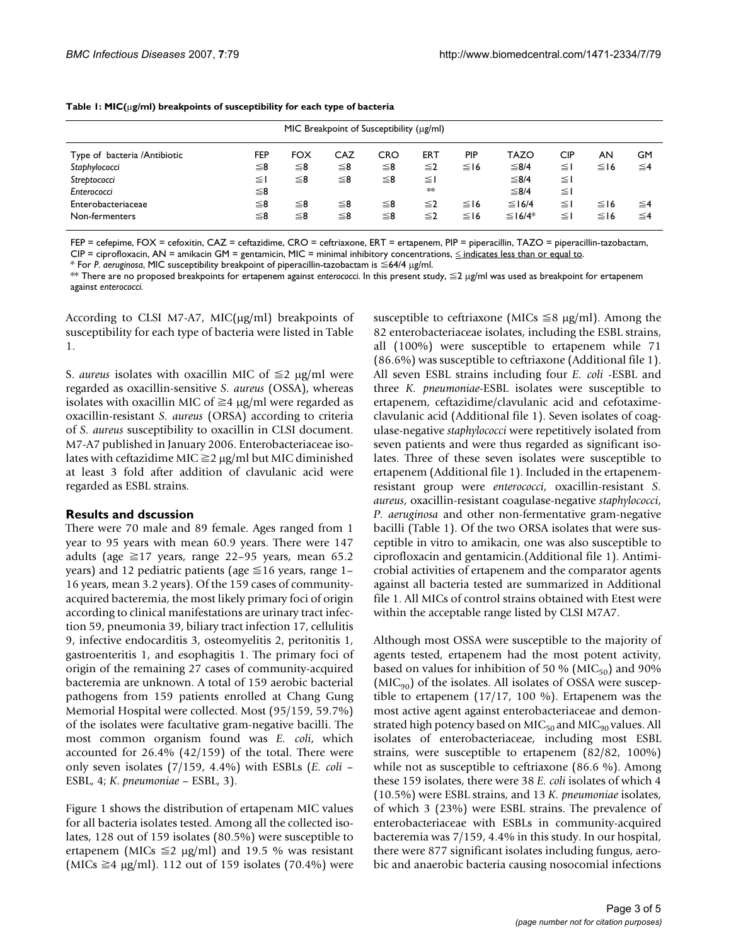| MIC Breakpoint of Susceptibility (ug/ml) |          |            |     |            |          |            |                          |            |           |          |
|------------------------------------------|----------|------------|-----|------------|----------|------------|--------------------------|------------|-----------|----------|
| Type of bacteria /Antibiotic             | FEP      | <b>FOX</b> | CAZ | <b>CRO</b> | ERT      | <b>PIP</b> | <b>TAZO</b>              | <b>CIP</b> | AN        | GM       |
| Staphylococci                            | ≦8       | ≦8         | ≦8  | $\leq 8$   | $\leq$ 2 | $\leq$ 16  | ≤8/4                     | $\leq$ 1   | $\leq$ 16 | ≦4       |
| Streptococci                             | $\leq$ 1 | ≦8         | ≦8  | ≦8         | $\leq$ 1 |            | ≤8/4                     | ≦∣         |           |          |
| Enterococci                              | $\leq 8$ |            |     |            | $*$      |            | ≤8/4                     | $\leq$ 1   |           |          |
| Enterobacteriaceae                       | ≦8       | ≦8         | ≦8  | ≦8         | $\leq$ 2 | $\leq$ 16  | $\leq$ 16/4              | $\leq$ 1   | $\leq$ 16 | ≦4       |
| Non-fermenters                           | ≦8       | ≦8         | ≦8  | ≦8         | $\leq$ 2 | $\leq$ 16  | $\leq$ 16/4 <sup>*</sup> | ≦∣         | $\leq$ 16 | $\leq 4$ |

#### **Table 1: MIC(**µ**g/ml) breakpoints of susceptibility for each type of bacteria**

FEP = cefepime, FOX = cefoxitin, CAZ = ceftazidime, CRO = ceftriaxone, ERT = ertapenem, PIP = piperacillin, TAZO = piperacillin-tazobactam, CIP = ciprofloxacin, AN = amikacin GM = gentamicin, MIC = minimal inhibitory concentrations, ≤ indicates less than or equal to.

 $*$  For *P. aeruginosa*, MIC susceptibility breakpoint of piperacillin-tazobactam is  $\leq$ 64/4  $\mu$ g/ml.

\*\* There are no proposed breakpoints for ertapenem against *enterococci*. In this present study, ≦2 µg/ml was used as breakpoint for ertapenem against *enterococci*.

According to CLSI M7-A7, MIC( $\mu$ g/ml) breakpoints of susceptibility for each type of bacteria were listed in Table 1.

S. *aureus* isolates with oxacillin MIC of  $\leq$   $2 \mu g/ml$  were regarded as oxacillin-sensitive *S. aureus* (OSSA), whereas isolates with oxacillin MIC of  $\geq 4$  µg/ml were regarded as oxacillin-resistant *S. aureus* (ORSA) according to criteria of *S. aureus* susceptibility to oxacillin in CLSI document. M7-A7 published in January 2006. Enterobacteriaceae isolates with ceftazidime MIC  $\geq$  2 µg/ml but MIC diminished at least 3 fold after addition of clavulanic acid were regarded as ESBL strains.

#### **Results and dscussion**

There were 70 male and 89 female. Ages ranged from 1 year to 95 years with mean 60.9 years. There were 147 adults (age  $\geq$ 17 years, range 22–95 years, mean 65.2 years) and 12 pediatric patients (age  $\leq$ 16 years, range 1– 16 years, mean 3.2 years). Of the 159 cases of communityacquired bacteremia, the most likely primary foci of origin according to clinical manifestations are urinary tract infection 59, pneumonia 39, biliary tract infection 17, cellulitis 9, infective endocarditis 3, osteomyelitis 2, peritonitis 1, gastroenteritis 1, and esophagitis 1. The primary foci of origin of the remaining 27 cases of community-acquired bacteremia are unknown. A total of 159 aerobic bacterial pathogens from 159 patients enrolled at Chang Gung Memorial Hospital were collected. Most (95/159, 59.7%) of the isolates were facultative gram-negative bacilli. The most common organism found was *E. coli*, which accounted for 26.4% (42/159) of the total. There were only seven isolates (7/159, 4.4%) with ESBLs (*E. coli* – ESBL, 4; *K*. *pneumoniae* – ESBL, 3).

Figure 1 shows the distribution of ertapenam MIC values for all bacteria isolates tested. Among all the collected isolates, 128 out of 159 isolates (80.5%) were susceptible to ertapenem (MICs  $\leq$ 2 µg/ml) and 19.5 % was resistant (MICs  $\geq 4$  µg/ml). 112 out of 159 isolates (70.4%) were

susceptible to ceftriaxone (MICs  $\leq$ 8 µg/ml). Among the 82 enterobacteriaceae isolates, including the ESBL strains, all (100%) were susceptible to ertapenem while 71 (86.6%) was susceptible to ceftriaxone (Additional file 1). All seven ESBL strains including four *E. coli* -ESBL and three *K. pneumoniae*-ESBL isolates were susceptible to ertapenem, ceftazidime/clavulanic acid and cefotaximeclavulanic acid (Additional file 1). Seven isolates of coagulase-negative *staphylococci* were repetitively isolated from seven patients and were thus regarded as significant isolates. Three of these seven isolates were susceptible to ertapenem (Additional file 1). Included in the ertapenemresistant group were *enterococci*, oxacillin-resistant *S. aureus*, oxacillin-resistant coagulase-negative *staphylococci*, *P. aeruginosa* and other non-fermentative gram-negative bacilli (Table 1). Of the two ORSA isolates that were susceptible in vitro to amikacin, one was also susceptible to ciprofloxacin and gentamicin.(Additional file 1). Antimicrobial activities of ertapenem and the comparator agents against all bacteria tested are summarized in Additional file 1. All MICs of control strains obtained with Etest were within the acceptable range listed by CLSI M7A7.

Although most OSSA were susceptible to the majority of agents tested, ertapenem had the most potent activity, based on values for inhibition of 50 % ( $MIC<sub>50</sub>$ ) and 90%  $(MIC_{90})$  of the isolates. All isolates of OSSA were susceptible to ertapenem (17/17, 100 %). Ertapenem was the most active agent against enterobacteriaceae and demonstrated high potency based on MIC $_{50}$  and MIC $_{90}$  values. All isolates of enterobacteriaceae, including most ESBL strains, were susceptible to ertapenem (82/82, 100%) while not as susceptible to ceftriaxone (86.6 %). Among these 159 isolates, there were 38 *E. coli* isolates of which 4 (10.5%) were ESBL strains, and 13 *K. pneumoniae* isolates, of which 3 (23%) were ESBL strains. The prevalence of enterobacteriaceae with ESBLs in community-acquired bacteremia was 7/159, 4.4% in this study. In our hospital, there were 877 significant isolates including fungus, aerobic and anaerobic bacteria causing nosocomial infections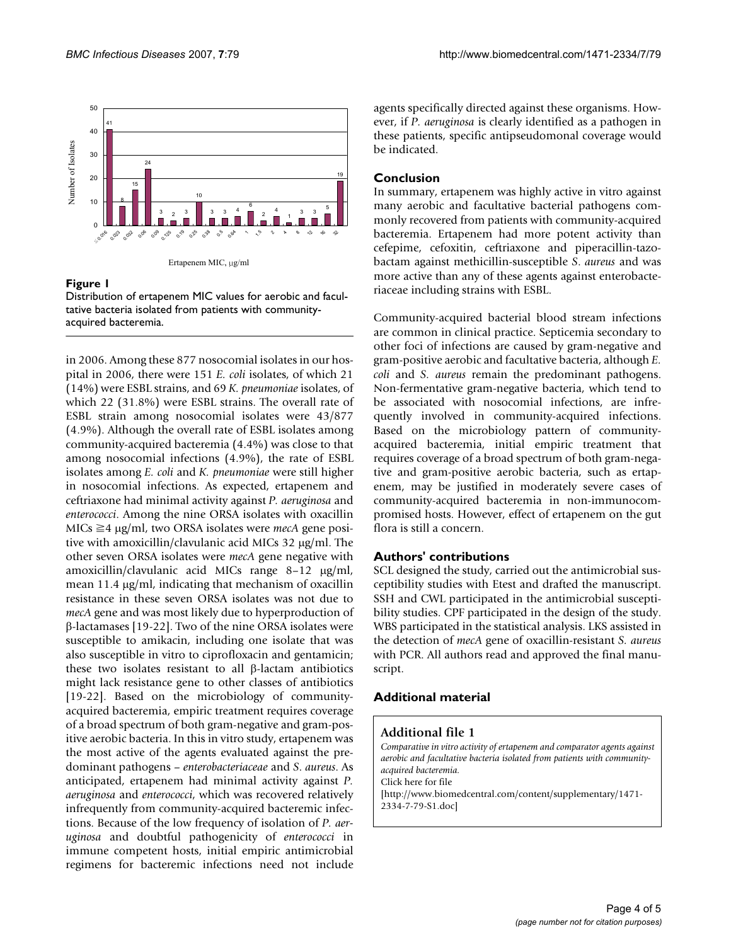



#### Figure 1

Distribution of ertapenem MIC values for aerobic and facultative bacteria isolated from patients with communityacquired bacteremia.

in 2006. Among these 877 nosocomial isolates in our hospital in 2006, there were 151 *E. coli* isolates, of which 21 (14%) were ESBL strains, and 69 *K. pneumoniae* isolates, of which 22 (31.8%) were ESBL strains. The overall rate of ESBL strain among nosocomial isolates were 43/877 (4.9%). Although the overall rate of ESBL isolates among community-acquired bacteremia (4.4%) was close to that among nosocomial infections (4.9%), the rate of ESBL isolates among *E. coli* and *K. pneumoniae* were still higher in nosocomial infections. As expected, ertapenem and ceftriaxone had minimal activity against *P. aeruginosa* and *enterococci*. Among the nine ORSA isolates with oxacillin  $MIS \geq 4$  µg/ml, two ORSA isolates were *mecA* gene positive with amoxicillin/clavulanic acid MICs 32 µg/ml. The other seven ORSA isolates were *mecA* gene negative with amoxicillin/clavulanic acid MICs range 8–12 µg/ml, mean 11.4  $\mu$ g/ml, indicating that mechanism of oxacillin resistance in these seven ORSA isolates was not due to *mecA* gene and was most likely due to hyperproduction of β-lactamases [19-22]. Two of the nine ORSA isolates were susceptible to amikacin, including one isolate that was also susceptible in vitro to ciprofloxacin and gentamicin; these two isolates resistant to all β-lactam antibiotics might lack resistance gene to other classes of antibiotics [19-22]. Based on the microbiology of communityacquired bacteremia, empiric treatment requires coverage of a broad spectrum of both gram-negative and gram-positive aerobic bacteria. In this in vitro study, ertapenem was the most active of the agents evaluated against the predominant pathogens – *enterobacteriaceae* and *S*. *aureus*. As anticipated, ertapenem had minimal activity against *P. aeruginosa* and *enterococci*, which was recovered relatively infrequently from community-acquired bacteremic infections. Because of the low frequency of isolation of *P. aeruginosa* and doubtful pathogenicity of *enterococci* in immune competent hosts, initial empiric antimicrobial regimens for bacteremic infections need not include agents specifically directed against these organisms. However, if *P. aeruginosa* is clearly identified as a pathogen in these patients, specific antipseudomonal coverage would be indicated.

#### **Conclusion**

In summary, ertapenem was highly active in vitro against many aerobic and facultative bacterial pathogens commonly recovered from patients with community-acquired bacteremia. Ertapenem had more potent activity than cefepime, cefoxitin, ceftriaxone and piperacillin-tazobactam against methicillin-susceptible *S*. *aureus* and was more active than any of these agents against enterobacteriaceae including strains with ESBL.

Community-acquired bacterial blood stream infections are common in clinical practice. Septicemia secondary to other foci of infections are caused by gram-negative and gram-positive aerobic and facultative bacteria, although *E. coli* and *S. aureus* remain the predominant pathogens. Non-fermentative gram-negative bacteria, which tend to be associated with nosocomial infections, are infrequently involved in community-acquired infections. Based on the microbiology pattern of communityacquired bacteremia, initial empiric treatment that requires coverage of a broad spectrum of both gram-negative and gram-positive aerobic bacteria, such as ertapenem, may be justified in moderately severe cases of community-acquired bacteremia in non-immunocompromised hosts. However, effect of ertapenem on the gut flora is still a concern.

#### **Authors' contributions**

SCL designed the study, carried out the antimicrobial susceptibility studies with Etest and drafted the manuscript. SSH and CWL participated in the antimicrobial susceptibility studies. CPF participated in the design of the study. WBS participated in the statistical analysis. LKS assisted in the detection of *mecA* gene of oxacillin-resistant *S. aureus* with PCR. All authors read and approved the final manuscript.

#### **Additional material**

#### **Additional file 1**

*Comparative in vitro activity of ertapenem and comparator agents against aerobic and facultative bacteria isolated from patients with communityacquired bacteremia.*

Click here for file

[\[http://www.biomedcentral.com/content/supplementary/1471-](http://www.biomedcentral.com/content/supplementary/1471-2334-7-79-S1.doc) 2334-7-79-S1.doc]